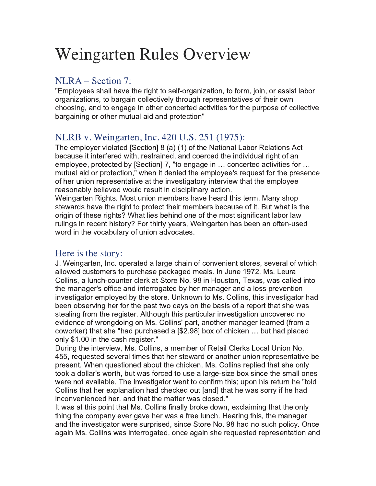# Weingarten Rules Overview

# NLRA – Section 7:

"Employees shall have the right to self-organization, to form, join, or assist labor organizations, to bargain collectively through representatives of their own choosing, and to engage in other concerted activities for the purpose of collective bargaining or other mutual aid and protection"

# NLRB v. Weingarten, Inc. 420 U.S. 251 (1975):

The employer violated [Section] 8 (a) (1) of the National Labor Relations Act because it interfered with, restrained, and coerced the individual right of an employee, protected by [Section] 7, "to engage in ... concerted activities for ... mutual aid or protection," when it denied the employee's request for the presence of her union representative at the investigatory interview that the employee reasonably believed would result in disciplinary action.

Weingarten Rights. Most union members have heard this term. Many shop stewards have the right to protect their members because of it. But what is the origin of these rights? What lies behind one of the most significant labor law rulings in recent history? For thirty years, Weingarten has been an often-used word in the vocabulary of union advocates.

## Here is the story:

J. Weingarten, Inc. operated a large chain of convenient stores, several of which allowed customers to purchase packaged meals. In June 1972, Ms. Leura Collins, a lunch-counter clerk at Store No. 98 in Houston, Texas, was called into the manager's office and interrogated by her manager and a loss prevention investigator employed by the store. Unknown to Ms. Collins, this investigator had been observing her for the past two days on the basis of a report that she was stealing from the register. Although this particular investigation uncovered no evidence of wrongdoing on Ms. Collins' part, another manager learned (from a coworker) that she "had purchased a [\$2.98] box of chicken ... but had placed only \$1.00 in the cash register."

During the interview, Ms. Collins, a member of Retail Clerks Local Union No. 455, requested several times that her steward or another union representative be present. When questioned about the chicken, Ms. Collins replied that she only took a dollar's worth, but was forced to use a large-size box since the small ones were not available. The investigator went to confirm this; upon his return he "told Collins that her explanation had checked out [and] that he was sorry if he had inconvenienced her, and that the matter was closed."

It was at this point that Ms. Collins finally broke down, exclaiming that the only thing the company ever gave her was a free lunch. Hearing this, the manager and the investigator were surprised, since Store No. 98 had no such policy. Once again Ms. Collins was interrogated, once again she requested representation and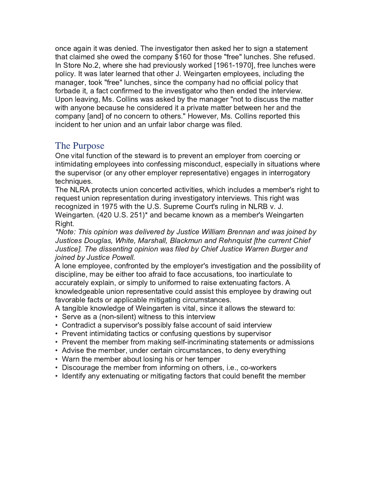once again it was denied. The investigator then asked her to sign a statement that claimed she owed the company \$160 for those "free" lunches. She refused. In Store No.2, where she had previously worked [1961-1970], free lunches were policy. It was later learned that other J. Weingarten employees, including the manager, took "free" lunches, since the company had no official policy that forbade it, a fact confirmed to the investigator who then ended the interview. Upon leaving, Ms. Collins was asked by the manager "not to discuss the matter with anyone because he considered it a private matter between her and the company [and] of no concern to others." However, Ms. Collins reported this incident to her union and an unfair labor charge was filed.

## The Purpose

One vital function of the steward is to prevent an employer from coercing or intimidating employees into confessing misconduct, especially in situations where the supervisor (or any other employer representative) engages in interrogatory techniques.

The NLRA protects union concerted activities, which includes a member's right to request union representation during investigatory interviews. This right was recognized in 1975 with the U.S. Supreme Court's ruling in NLRB v. J. Weingarten. (420 U.S. 251)\* and became known as a member's Weingarten Right.

\*Note: This opinion was delivered by Justice William Brennan and was joined by Justices Douglas, White, Marshall, Blackmun and Rehnguist [the current Chief Justice]. The dissenting opinion was filed by Chief Justice Warren Burger and joined by Justice Powell.

A lone employee, confronted by the employer's investigation and the possibility of discipline, may be either too afraid to face accusations, too inarticulate to accurately explain, or simply to uniformed to raise extenuating factors. A knowledgeable union representative could assist this employee by drawing out favorable facts or applicable mitigating circumstances.

A tangible knowledge of Weingarten is vital, since it allows the steward to:

- Serve as a (non-silent) witness to this interview
- Contradict a supervisor's possibly false account of said interview
- Prevent intimidating tactics or confusing questions by supervisor
- Prevent the member from making self-incriminating statements or admissions
- Advise the member, under certain circumstances, to deny everything
- Warn the member about losing his or her temper
- Discourage the member from informing on others, i.e., co-workers
- Identify any extenuating or mitigating factors that could benefit the member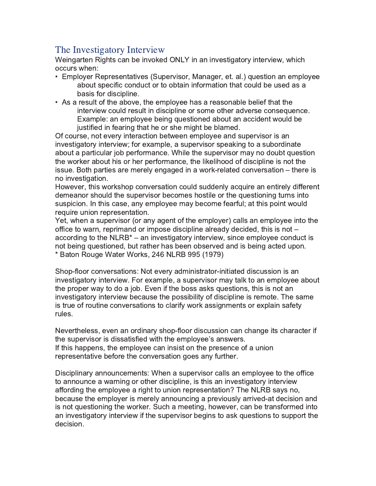# The Investigatory Interview

Weingarten Rights can be invoked ONLY in an investigatory interview, which occurs when:

- Employer Representatives (Supervisor, Manager, et. al.) question an employee about specific conduct or to obtain information that could be used as a basis for discipline.
- As a result of the above, the employee has a reasonable belief that the interview could result in discipline or some other adverse consequence. Example: an employee being questioned about an accident would be justified in fearing that he or she might be blamed.

Of course, not every interaction between employee and supervisor is an investigatory interview; for example, a supervisor speaking to a subordinate about a particular job performance. While the supervisor may no doubt question the worker about his or her performance, the likelihood of discipline is not the issue. Both parties are merely engaged in a work-related conversation – there is no investigation.

However, this workshop conversation could suddenly acquire an entirely different demeanor should the supervisor becomes hostile or the questioning turns into suspicion. In this case, any employee may become fearful; at this point would require union representation.

Yet, when a supervisor (or any agent of the employer) calls an employee into the office to warn, reprimand or impose discipline already decided, this is not  $$ according to the NLRB<sup>\*</sup> – an investigatory interview, since employee conduct is not being questioned, but rather has been observed and is being acted upon. \* Baton Rouge Water Works, 246 NLRB 995 (1979)

Shop-floor conversations: Not every administrator-initiated discussion is an investigatory interview. For example, a supervisor may talk to an employee about the proper way to do a job. Even if the boss asks questions, this is not an investigatory interview because the possibility of discipline is remote. The same is true of routine conversations to clarify work assignments or explain safety rules.

Nevertheless, even an ordinary shop-floor discussion can change its character if the supervisor is dissatisfied with the employee's answers. If this happens, the employee can insist on the presence of a union representative before the conversation goes any further.

Disciplinary announcements: When a supervisor calls an employee to the office to announce a warning or other discipline, is this an investigatory interview affording the employee a right to union representation? The NLRB says no, because the employer is merely announcing a previously arrived-at decision and is not questioning the worker. Such a meeting, however, can be transformed into an investigatory interview if the supervisor begins to ask guestions to support the decision.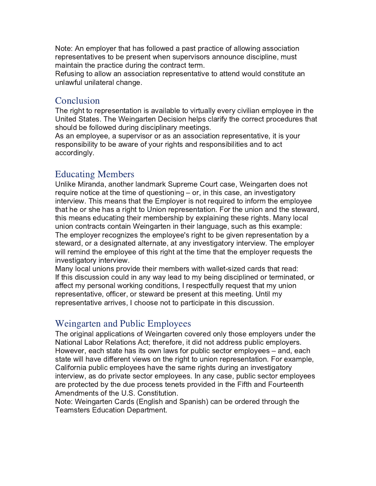Note: An employer that has followed a past practice of allowing association representatives to be present when supervisors announce discipline, must maintain the practice during the contract term.

Refusing to allow an association representative to attend would constitute an unlawful unilateral change.

## Conclusion

The right to representation is available to virtually every civilian employee in the United States. The Weingarten Decision helps clarify the correct procedures that should be followed during disciplinary meetings.

As an employee, a supervisor or as an association representative, it is your responsibility to be aware of your rights and responsibilities and to act accordingly.

## **Educating Members**

Unlike Miranda, another landmark Supreme Court case, Weingarten does not require notice at the time of questioning  $-$  or, in this case, an investigatory interview. This means that the Employer is not required to inform the employee that he or she has a right to Union representation. For the union and the steward, this means educating their membership by explaining these rights. Many local union contracts contain Weingarten in their language, such as this example: The employer recognizes the employee's right to be given representation by a steward, or a designated alternate, at any investigatory interview. The employer will remind the employee of this right at the time that the employer requests the investigatory interview.

Many local unions provide their members with wallet-sized cards that read: If this discussion could in any way lead to my being disciplined or terminated, or affect my personal working conditions, I respectfully request that my union representative, officer, or steward be present at this meeting. Until my representative arrives, I choose not to participate in this discussion.

## Weingarten and Public Employees

The original applications of Weingarten covered only those employers under the National Labor Relations Act; therefore, it did not address public employers. However, each state has its own laws for public sector employees – and, each state will have different views on the right to union representation. For example, California public employees have the same rights during an investigatory interview, as do private sector employees. In any case, public sector employees are protected by the due process tenets provided in the Fifth and Fourteenth Amendments of the U.S. Constitution.

Note: Weingarten Cards (English and Spanish) can be ordered through the **Teamsters Education Department.**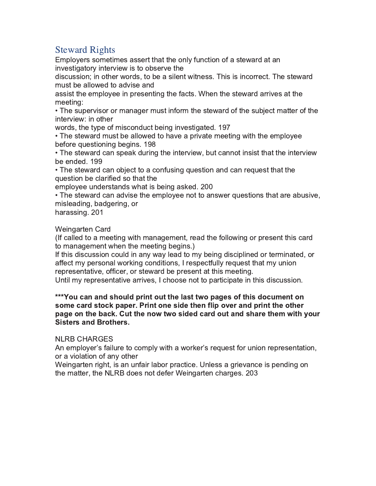# **Steward Rights**

Employers sometimes assert that the only function of a steward at an investigatory interview is to observe the

discussion; in other words, to be a silent witness. This is incorrect. The steward must be allowed to advise and

assist the employee in presenting the facts. When the steward arrives at the meeting:

• The supervisor or manager must inform the steward of the subject matter of the interview: in other

words, the type of misconduct being investigated. 197

• The steward must be allowed to have a private meeting with the employee before questioning begins. 198

• The steward can speak during the interview, but cannot insist that the interview be ended. 199

• The steward can object to a confusing question and can request that the question be clarified so that the

employee understands what is being asked. 200

• The steward can advise the employee not to answer questions that are abusive, misleading, badgering, or

harassing. 201

Weingarten Card

(If called to a meeting with management, read the following or present this card to management when the meeting begins.)

If this discussion could in any way lead to my being disciplined or terminated, or affect my personal working conditions, I respectfully request that my union representative, officer, or steward be present at this meeting.

Until my representative arrives, I choose not to participate in this discussion.

#### \*\*\*You can and should print out the last two pages of this document on some card stock paper. Print one side then flip over and print the other page on the back. Cut the now two sided card out and share them with your **Sisters and Brothers.**

### **NLRB CHARGES**

An employer's failure to comply with a worker's request for union representation, or a violation of any other

Weingarten right, is an unfair labor practice. Unless a grievance is pending on the matter, the NLRB does not defer Weingarten charges. 203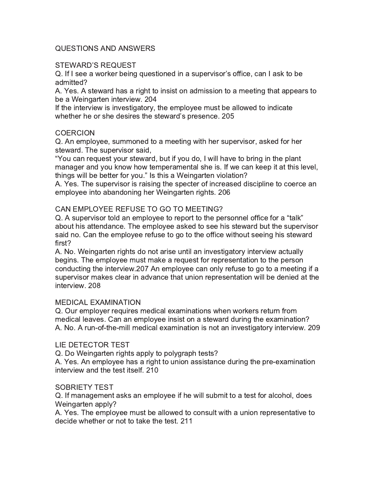#### **QUESTIONS AND ANSWERS**

#### STEWARD'S REQUEST

Q. If I see a worker being questioned in a supervisor's office, can I ask to be admitted?

A. Yes. A steward has a right to insist on admission to a meeting that appears to be a Weingarten interview. 204

If the interview is investigatory, the employee must be allowed to indicate whether he or she desires the steward's presence. 205

#### **COERCION**

Q. An employee, summoned to a meeting with her supervisor, asked for her steward. The supervisor said.

"You can request your steward, but if you do, I will have to bring in the plant manager and you know how temperamental she is. If we can keep it at this level, things will be better for you." Is this a Weingarten violation?

A. Yes. The supervisor is raising the specter of increased discipline to coerce an employee into abandoning her Weingarten rights. 206

#### CAN EMPLOYEE REFUSE TO GO TO MEETING?

Q. A supervisor told an employee to report to the personnel office for a "talk" about his attendance. The employee asked to see his steward but the supervisor said no. Can the employee refuse to go to the office without seeing his steward first?

A. No. Weingarten rights do not arise until an investigatory interview actually begins. The employee must make a request for representation to the person conducting the interview.207 An employee can only refuse to go to a meeting if a supervisor makes clear in advance that union representation will be denied at the interview, 208

#### MEDICAL EXAMINATION

Q. Our employer requires medical examinations when workers return from medical leaves. Can an employee insist on a steward during the examination? A. No. A run-of-the-mill medical examination is not an investigatory interview. 209

#### LIE DETECTOR TEST

Q. Do Weingarten rights apply to polygraph tests?

A. Yes. An employee has a right to union assistance during the pre-examination interview and the test itself. 210

#### SOBRIETY TEST

Q. If management asks an employee if he will submit to a test for alcohol, does Weingarten apply?

A. Yes. The employee must be allowed to consult with a union representative to decide whether or not to take the test. 211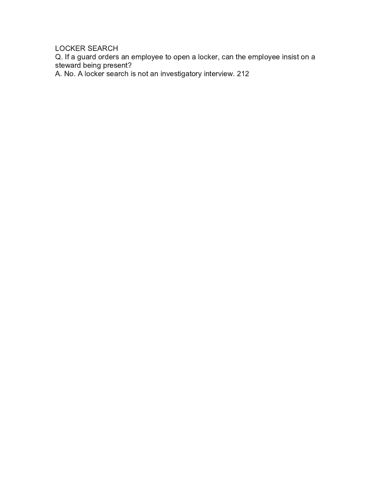LOCKER SEARCH

Q. If a guard orders an employee to open a locker, can the employee insist on a steward being present?<br>A. No. A locker search is not an investigatory interview. 212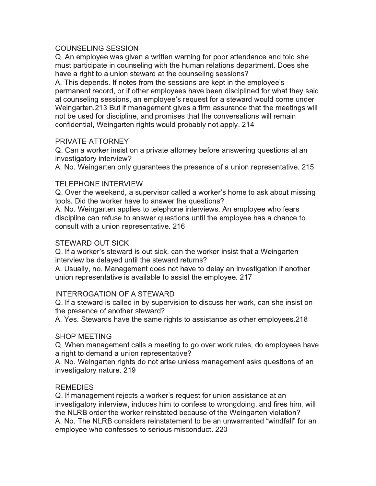#### **COUNSELING SESSION**

Q. An employee was given a written warning for poor attendance and told she must participate in counseling with the human relations department. Does she have a right to a union steward at the counseling sessions?

A. This depends. If notes from the sessions are kept in the employee's permanent record, or if other employees have been disciplined for what they said at counseling sessions, an employee's request for a steward would come under Weingarten.213 But if management gives a firm assurance that the meetings will not be used for discipline, and promises that the conversations will remain confidential, Weingarten rights would probably not apply. 214

#### PRIVATE ATTORNEY

Q. Can a worker insist on a private attorney before answering questions at an investigatory interview?

A. No. Weingarten only guarantees the presence of a union representative. 215

#### **TELEPHONE INTERVIEW**

Q. Over the weekend, a supervisor called a worker's home to ask about missing tools. Did the worker have to answer the questions?

A. No. Weingarten applies to telephone interviews. An employee who fears discipline can refuse to answer questions until the employee has a chance to consult with a union representative. 216

#### **STEWARD OUT SICK**

Q. If a worker's steward is out sick, can the worker insist that a Weingarten interview be delayed until the steward returns?

A. Usually, no. Management does not have to delay an investigation if another union representative is available to assist the employee. 217

#### INTERROGATION OF A STEWARD

Q. If a steward is called in by supervision to discuss her work, can she insist on the presence of another steward?

A. Yes. Stewards have the same rights to assistance as other employees.218

#### **SHOP MEETING**

Q. When management calls a meeting to go over work rules, do employees have a right to demand a union representative?

A. No. Weingarten rights do not arise unless management asks questions of an investigatory nature. 219

#### **REMEDIES**

Q. If management rejects a worker's request for union assistance at an investigatory interview, induces him to confess to wrongdoing, and fires him, will the NLRB order the worker reinstated because of the Weingarten violation? A. No. The NLRB considers reinstatement to be an unwarranted "windfall" for an employee who confesses to serious misconduct. 220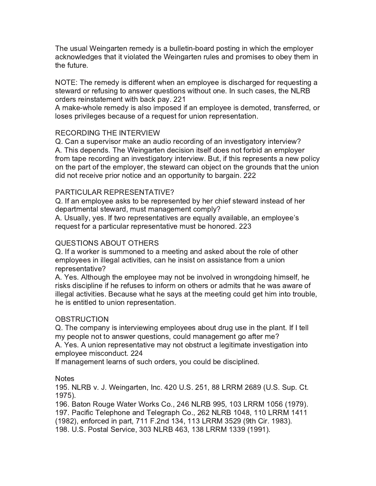The usual Weingarten remedy is a bulletin-board posting in which the employer acknowledges that it violated the Weingarten rules and promises to obey them in the future.

NOTE: The remedy is different when an employee is discharged for requesting a steward or refusing to answer questions without one. In such cases, the NLRB orders reinstatement with back pay. 221

A make-whole remedy is also imposed if an employee is demoted, transferred, or loses privileges because of a request for union representation.

#### **RECORDING THE INTERVIEW**

Q. Can a supervisor make an audio recording of an investigatory interview? A. This depends. The Weingarten decision itself does not forbid an employer from tape recording an investigatory interview. But, if this represents a new policy on the part of the employer, the steward can object on the grounds that the union did not receive prior notice and an opportunity to bargain. 222

#### PARTICULAR REPRESENTATIVE?

Q. If an employee asks to be represented by her chief steward instead of her departmental steward, must management comply?

A. Usually, yes. If two representatives are equally available, an employee's request for a particular representative must be honored. 223

#### **QUESTIONS ABOUT OTHERS**

Q. If a worker is summoned to a meeting and asked about the role of other employees in illegal activities, can he insist on assistance from a union representative?

A. Yes. Although the employee may not be involved in wrongdoing himself, he risks discipline if he refuses to inform on others or admits that he was aware of illegal activities. Because what he says at the meeting could get him into trouble, he is entitled to union representation.

#### **OBSTRUCTION**

Q. The company is interviewing employees about drug use in the plant. If I tell my people not to answer questions, could management go after me?

A. Yes. A union representative may not obstruct a legitimate investigation into employee misconduct. 224

If management learns of such orders, you could be disciplined.

#### **Notes**

195. NLRB v. J. Weingarten, Inc. 420 U.S. 251, 88 LRRM 2689 (U.S. Sup. Ct.  $1975$ ).

196. Baton Rouge Water Works Co., 246 NLRB 995, 103 LRRM 1056 (1979). 197. Pacific Telephone and Telegraph Co., 262 NLRB 1048, 110 LRRM 1411 (1982), enforced in part, 711 F.2nd 134, 113 LRRM 3529 (9th Cir. 1983). 198. U.S. Postal Service, 303 NLRB 463, 138 LRRM 1339 (1991).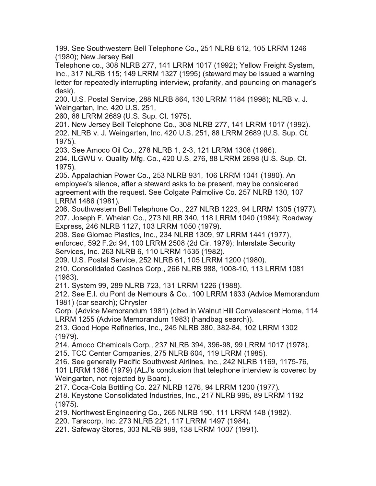199. See Southwestern Bell Telephone Co., 251 NLRB 612, 105 LRRM 1246 (1980); New Jersey Bell

Telephone co., 308 NLRB 277, 141 LRRM 1017 (1992); Yellow Freight System, Inc., 317 NLRB 115; 149 LRRM 1327 (1995) (steward may be issued a warning letter for repeatedly interrupting interview, profanity, and pounding on manager's desk).

200. U.S. Postal Service, 288 NLRB 864, 130 LRRM 1184 (1998); NLRB v. J. Weingarten, Inc. 420 U.S. 251,

260, 88 LRRM 2689 (U.S. Sup. Ct. 1975).

201. New Jersey Bell Telephone Co., 308 NLRB 277, 141 LRRM 1017 (1992). 202. NLRB v. J. Weingarten, Inc. 420 U.S. 251, 88 LRRM 2689 (U.S. Sup. Ct. 1975).

203. See Amoco Oil Co., 278 NLRB 1, 2-3, 121 LRRM 1308 (1986). 204. ILGWU v. Quality Mfg. Co., 420 U.S. 276, 88 LRRM 2698 (U.S. Sup. Ct.  $1975$ ).

205. Appalachian Power Co., 253 NLRB 931, 106 LRRM 1041 (1980). An employee's silence, after a steward asks to be present, may be considered agreement with the request. See Colgate Palmolive Co. 257 NLRB 130, 107 LRRM 1486 (1981).

206. Southwestern Bell Telephone Co., 227 NLRB 1223, 94 LRRM 1305 (1977). 207. Joseph F. Whelan Co., 273 NLRB 340, 118 LRRM 1040 (1984); Roadway Express, 246 NLRB 1127, 103 LRRM 1050 (1979).

208. See Glomac Plastics. Inc., 234 NLRB 1309, 97 LRRM 1441 (1977). enforced, 592 F.2d 94, 100 LRRM 2508 (2d Cir. 1979); Interstate Security Services, Inc. 263 NLRB 6, 110 LRRM 1535 (1982).

209. U.S. Postal Service, 252 NLRB 61, 105 LRRM 1200 (1980).

210. Consolidated Casinos Corp., 266 NLRB 988, 1008-10, 113 LRRM 1081  $(1983)$ .

211. System 99, 289 NLRB 723, 131 LRRM 1226 (1988).

212. See E.I. du Pont de Nemours & Co., 100 LRRM 1633 (Advice Memorandum 1981) (car search); Chrysler

Corp. (Advice Memorandum 1981) (cited in Walnut Hill Convalescent Home, 114 LRRM 1255 (Advice Memorandum 1983) (handbag search)).

213. Good Hope Refineries, Inc., 245 NLRB 380, 382-84, 102 LRRM 1302  $(1979).$ 

214. Amoco Chemicals Corp., 237 NLRB 394, 396-98, 99 LRRM 1017 (1978). 215. TCC Center Companies, 275 NLRB 604, 119 LRRM (1985).

216. See generally Pacific Southwest Airlines, Inc., 242 NLRB 1169, 1175-76,

101 LRRM 1366 (1979) (ALJ's conclusion that telephone interview is covered by Weingarten, not rejected by Board).

217. Coca-Cola Bottling Co. 227 NLRB 1276, 94 LRRM 1200 (1977).

218. Keystone Consolidated Industries, Inc., 217 NLRB 995, 89 LRRM 1192  $(1975).$ 

219. Northwest Engineering Co., 265 NLRB 190, 111 LRRM 148 (1982).

220. Taracorp, Inc. 273 NLRB 221, 117 LRRM 1497 (1984).

221. Safeway Stores, 303 NLRB 989, 138 LRRM 1007 (1991).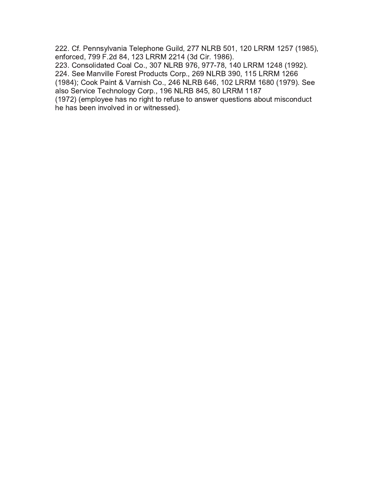222. Cf. Pennsylvania Telephone Guild, 277 NLRB 501, 120 LRRM 1257 (1985), enforced, 799 F.2d 84, 123 LRRM 2214 (3d Cir. 1986).

223. Consolidated Coal Co., 307 NLRB 976, 977-78, 140 LRRM 1248 (1992). 224. See Manville Forest Products Corp., 269 NLRB 390, 115 LRRM 1266 (1984); Cook Paint & Varnish Co., 246 NLRB 646, 102 LRRM 1680 (1979). See

also Service Technology Corp., 196 NLRB 845, 80 LRRM 1187

(1972) (employee has no right to refuse to answer questions about misconduct he has been involved in or witnessed).